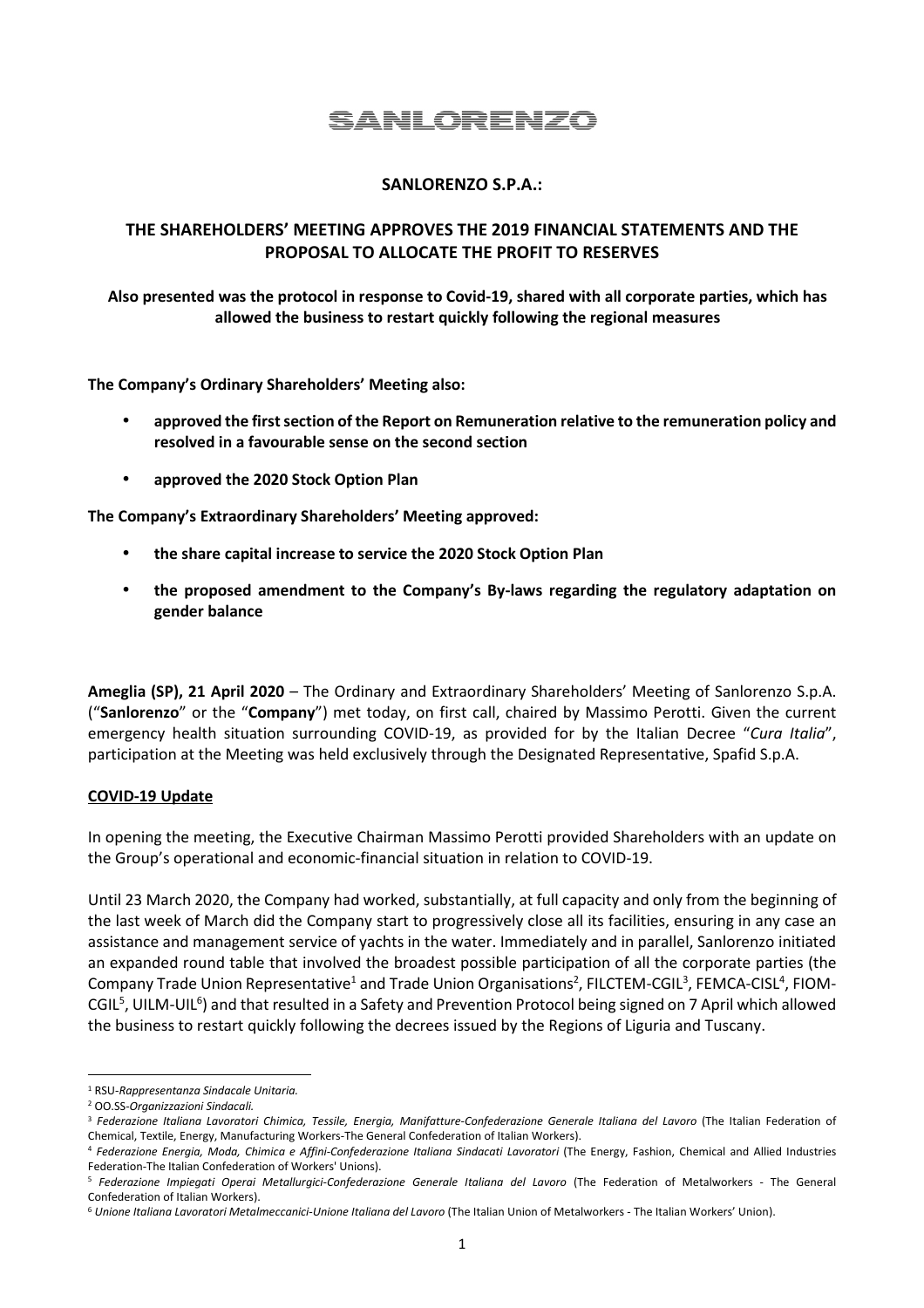# SANLORENZO

# **SANLORENZO S.P.A.:**

# **THE SHAREHOLDERS' MEETING APPROVES THE 2019 FINANCIAL STATEMENTS AND THE PROPOSAL TO ALLOCATE THE PROFIT TO RESERVES**

**Also presented was the protocol in response to Covid-19, shared with all corporate parties, which has allowed the business to restart quickly following the regional measures** 

**The Company's Ordinary Shareholders' Meeting also:** 

- **approved the first section of the Report on Remuneration relative to the remuneration policy and resolved in a favourable sense on the second section**
- **approved the 2020 Stock Option Plan**

**The Company's Extraordinary Shareholders' Meeting approved:** 

- **the share capital increase to service the 2020 Stock Option Plan**
- **the proposed amendment to the Company's By-laws regarding the regulatory adaptation on gender balance**

**Ameglia (SP), 21 April 2020** – The Ordinary and Extraordinary Shareholders' Meeting of Sanlorenzo S.p.A. ("**Sanlorenzo**" or the "**Company**") met today, on first call, chaired by Massimo Perotti. Given the current emergency health situation surrounding COVID-19, as provided for by the Italian Decree "*Cura Italia*", participation at the Meeting was held exclusively through the Designated Representative, Spafid S.p.A.

#### **COVID-19 Update**

In opening the meeting, the Executive Chairman Massimo Perotti provided Shareholders with an update on the Group's operational and economic-financial situation in relation to COVID-19.

Until 23 March 2020, the Company had worked, substantially, at full capacity and only from the beginning of the last week of March did the Company start to progressively close all its facilities, ensuring in any case an assistance and management service of yachts in the water. Immediately and in parallel, Sanlorenzo initiated an expanded round table that involved the broadest possible participation of all the corporate parties (the Company Trade Union Representative<sup>1</sup> and Trade Union Organisations<sup>2</sup>, FILCTEM-CGIL<sup>3</sup>, FEMCA-CISL<sup>4</sup>, FIOM-CGIL<sup>5</sup>, UILM-UIL<sup>6</sup>) and that resulted in a Safety and Prevention Protocol being signed on 7 April which allowed the business to restart quickly following the decrees issued by the Regions of Liguria and Tuscany.

<sup>1</sup> RSU-*Rappresentanza Sindacale Unitaria.*

<sup>2</sup> OO.SS-*Organizzazioni Sindacali.*

<sup>3</sup> *Federazione Italiana Lavoratori Chimica, Tessile, Energia, Manifatture-Confederazione Generale Italiana del Lavoro* (The Italian Federation of Chemical, Textile, Energy, Manufacturing Workers-The General Confederation of Italian Workers).

<sup>4</sup> *Federazione Energia, Moda, Chimica e Affini-Confederazione Italiana Sindacati Lavoratori* (The Energy, Fashion, Chemical and Allied Industries Federation-The Italian Confederation of Workers' Unions).

<sup>5</sup> *Federazione Impiegati Operai Metallurgici-Confederazione Generale Italiana del Lavoro* (The Federation of Metalworkers - The General Confederation of Italian Workers).

<sup>&</sup>lt;sup>6</sup> Unione Italiana Lavoratori Metalmeccanici-Unione Italiana del Lavoro (The Italian Union of Metalworkers - The Italian Workers' Union).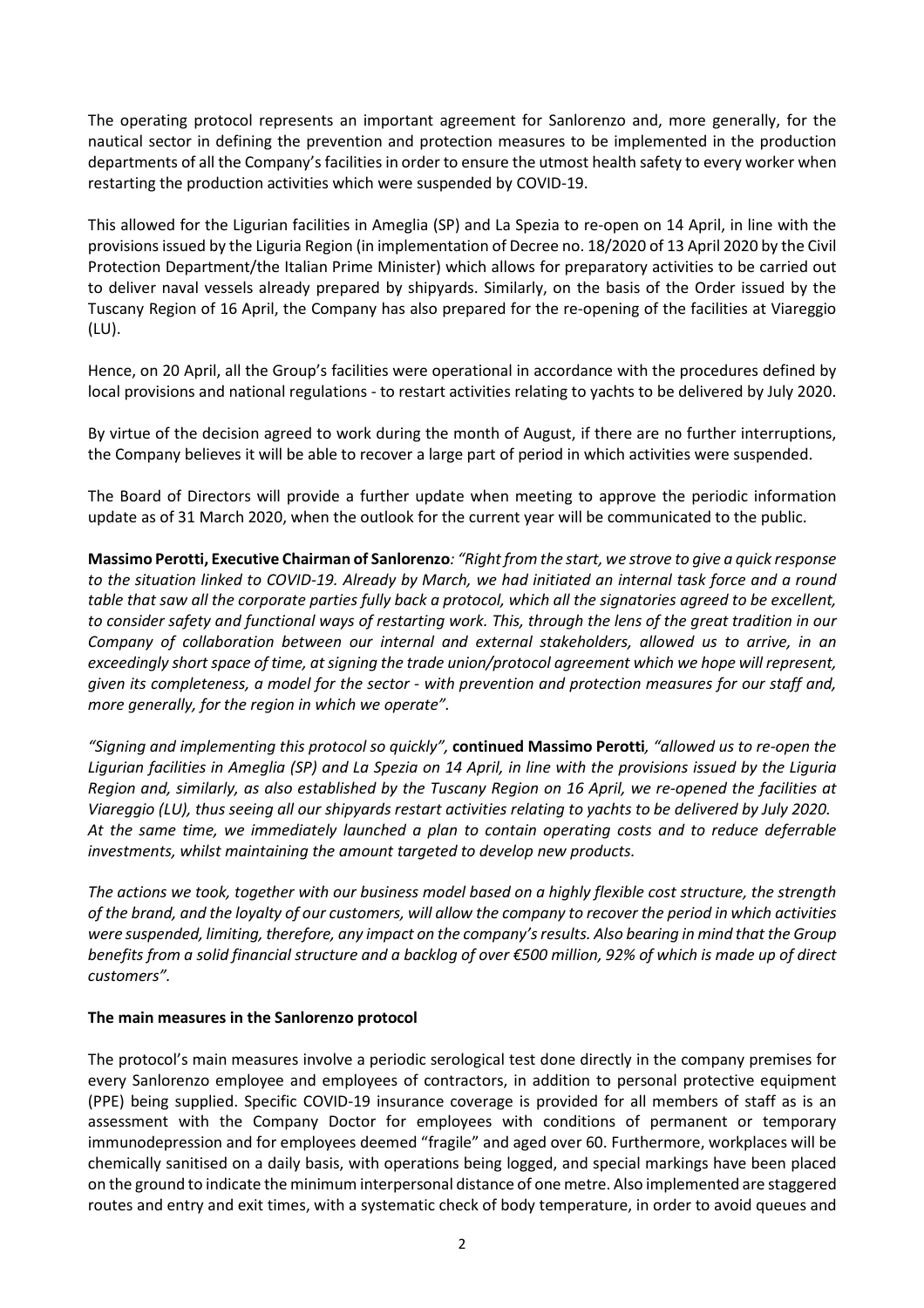The operating protocol represents an important agreement for Sanlorenzo and, more generally, for the nautical sector in defining the prevention and protection measures to be implemented in the production departments of all the Company's facilities in order to ensure the utmost health safety to every worker when restarting the production activities which were suspended by COVID-19.

This allowed for the Ligurian facilities in Ameglia (SP) and La Spezia to re-open on 14 April, in line with the provisions issued by the Liguria Region (in implementation of Decree no. 18/2020 of 13 April 2020 by the Civil Protection Department/the Italian Prime Minister) which allows for preparatory activities to be carried out to deliver naval vessels already prepared by shipyards. Similarly, on the basis of the Order issued by the Tuscany Region of 16 April, the Company has also prepared for the re-opening of the facilities at Viareggio (LU).

Hence, on 20 April, all the Group's facilities were operational in accordance with the procedures defined by local provisions and national regulations - to restart activities relating to yachts to be delivered by July 2020.

By virtue of the decision agreed to work during the month of August, if there are no further interruptions, the Company believes it will be able to recover a large part of period in which activities were suspended.

The Board of Directors will provide a further update when meeting to approve the periodic information update as of 31 March 2020, when the outlook for the current year will be communicated to the public.

**Massimo Perotti, Executive Chairman of Sanlorenzo***: "Right from the start, we strove to give a quick response to the situation linked to COVID-19. Already by March, we had initiated an internal task force and a round table that saw all the corporate parties fully back a protocol, which all the signatories agreed to be excellent, to consider safety and functional ways of restarting work. This, through the lens of the great tradition in our Company of collaboration between our internal and external stakeholders, allowed us to arrive, in an exceedingly short space of time, at signing the trade union/protocol agreement which we hope will represent, given its completeness, a model for the sector - with prevention and protection measures for our staff and, more generally, for the region in which we operate".*

*"Signing and implementing this protocol so quickly",* **continued Massimo Perotti***, "allowed us to re-open the Ligurian facilities in Ameglia (SP) and La Spezia on 14 April, in line with the provisions issued by the Liguria Region and, similarly, as also established by the Tuscany Region on 16 April, we re-opened the facilities at Viareggio (LU), thus seeing all our shipyards restart activities relating to yachts to be delivered by July 2020. At the same time, we immediately launched a plan to contain operating costs and to reduce deferrable investments, whilst maintaining the amount targeted to develop new products.* 

*The actions we took, together with our business model based on a highly flexible cost structure, the strength of the brand, and the loyalty of our customers, will allow the company to recover the period in which activities were suspended, limiting, therefore, any impact on the company's results. Also bearing in mind that the Group benefits from a solid financial structure and a backlog of over €500 million, 92% of which is made up of direct customers".* 

#### **The main measures in the Sanlorenzo protocol**

The protocol's main measures involve a periodic serological test done directly in the company premises for every Sanlorenzo employee and employees of contractors, in addition to personal protective equipment (PPE) being supplied. Specific COVID-19 insurance coverage is provided for all members of staff as is an assessment with the Company Doctor for employees with conditions of permanent or temporary immunodepression and for employees deemed "fragile" and aged over 60. Furthermore, workplaces will be chemically sanitised on a daily basis, with operations being logged, and special markings have been placed on the ground to indicate the minimum interpersonal distance of one metre. Also implemented are staggered routes and entry and exit times, with a systematic check of body temperature, in order to avoid queues and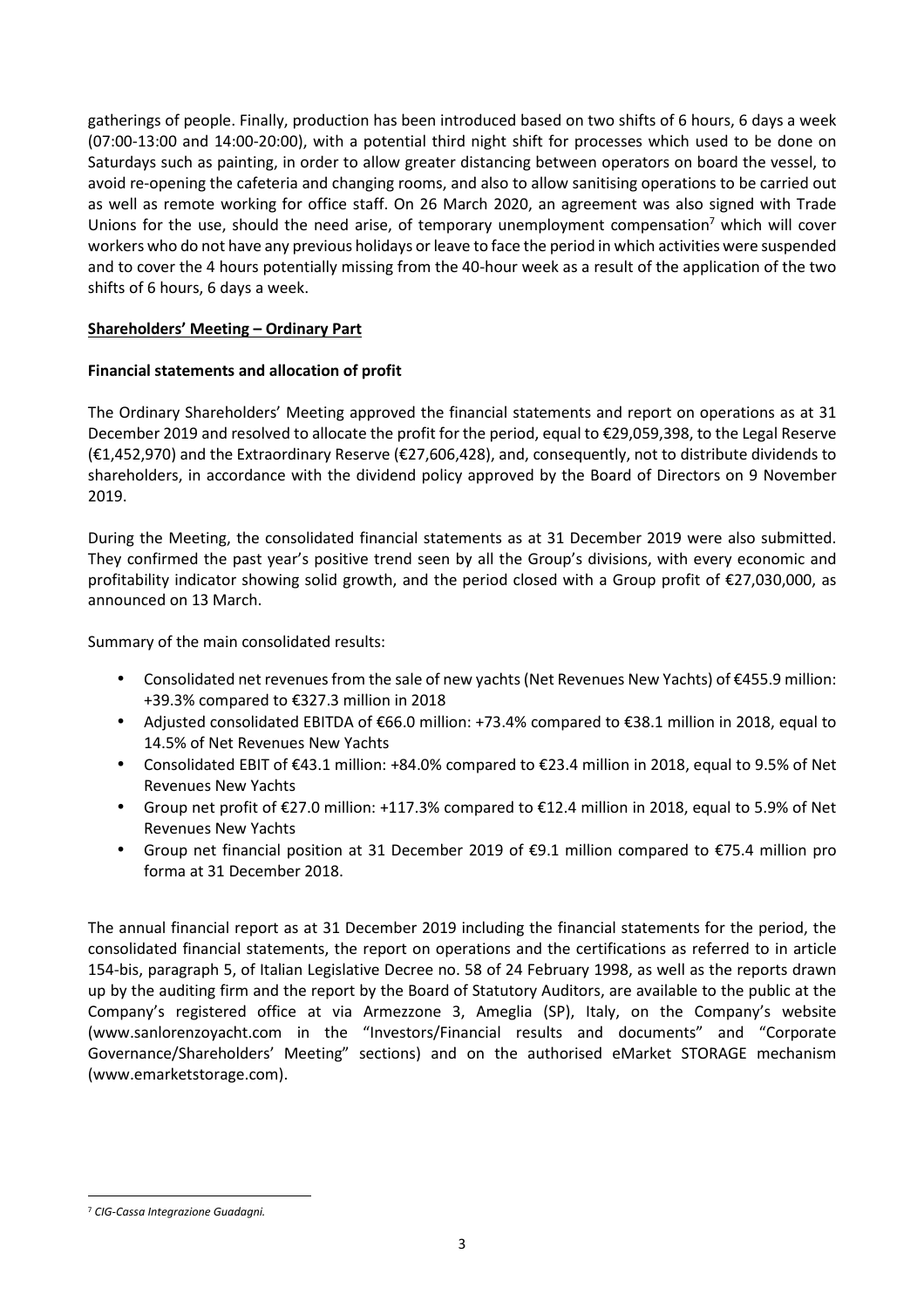gatherings of people. Finally, production has been introduced based on two shifts of 6 hours, 6 days a week (07:00-13:00 and 14:00-20:00), with a potential third night shift for processes which used to be done on Saturdays such as painting, in order to allow greater distancing between operators on board the vessel, to avoid re-opening the cafeteria and changing rooms, and also to allow sanitising operations to be carried out as well as remote working for office staff. On 26 March 2020, an agreement was also signed with Trade Unions for the use, should the need arise, of temporary unemployment compensation<sup>7</sup> which will cover workers who do not have any previous holidays or leave to face the period in which activities were suspended and to cover the 4 hours potentially missing from the 40-hour week as a result of the application of the two shifts of 6 hours, 6 days a week.

# **Shareholders' Meeting – Ordinary Part**

## **Financial statements and allocation of profit**

The Ordinary Shareholders' Meeting approved the financial statements and report on operations as at 31 December 2019 and resolved to allocate the profit for the period, equal to €29,059,398, to the Legal Reserve (€1,452,970) and the Extraordinary Reserve (€27,606,428), and, consequently, not to distribute dividends to shareholders, in accordance with the dividend policy approved by the Board of Directors on 9 November 2019.

During the Meeting, the consolidated financial statements as at 31 December 2019 were also submitted. They confirmed the past year's positive trend seen by all the Group's divisions, with every economic and profitability indicator showing solid growth, and the period closed with a Group profit of €27,030,000, as announced on 13 March.

Summary of the main consolidated results:

- Consolidated net revenues from the sale of new yachts (Net Revenues New Yachts) of €455.9 million: +39.3% compared to €327.3 million in 2018
- Adjusted consolidated EBITDA of €66.0 million: +73.4% compared to €38.1 million in 2018, equal to 14.5% of Net Revenues New Yachts
- Consolidated EBIT of €43.1 million: +84.0% compared to €23.4 million in 2018, equal to 9.5% of Net Revenues New Yachts
- Group net profit of €27.0 million: +117.3% compared to €12.4 million in 2018, equal to 5.9% of Net Revenues New Yachts
- Group net financial position at 31 December 2019 of €9.1 million compared to €75.4 million pro forma at 31 December 2018.

The annual financial report as at 31 December 2019 including the financial statements for the period, the consolidated financial statements, the report on operations and the certifications as referred to in article 154-bis, paragraph 5, of Italian Legislative Decree no. 58 of 24 February 1998, as well as the reports drawn up by the auditing firm and the report by the Board of Statutory Auditors, are available to the public at the Company's registered office at via Armezzone 3, Ameglia (SP), Italy, on the Company's website (www.sanlorenzoyacht.com in the "Investors/Financial results and documents" and "Corporate Governance/Shareholders' Meeting" sections) and on the authorised eMarket STORAGE mechanism (www.emarketstorage.com).

<sup>7</sup> *CIG-Cassa Integrazione Guadagni.*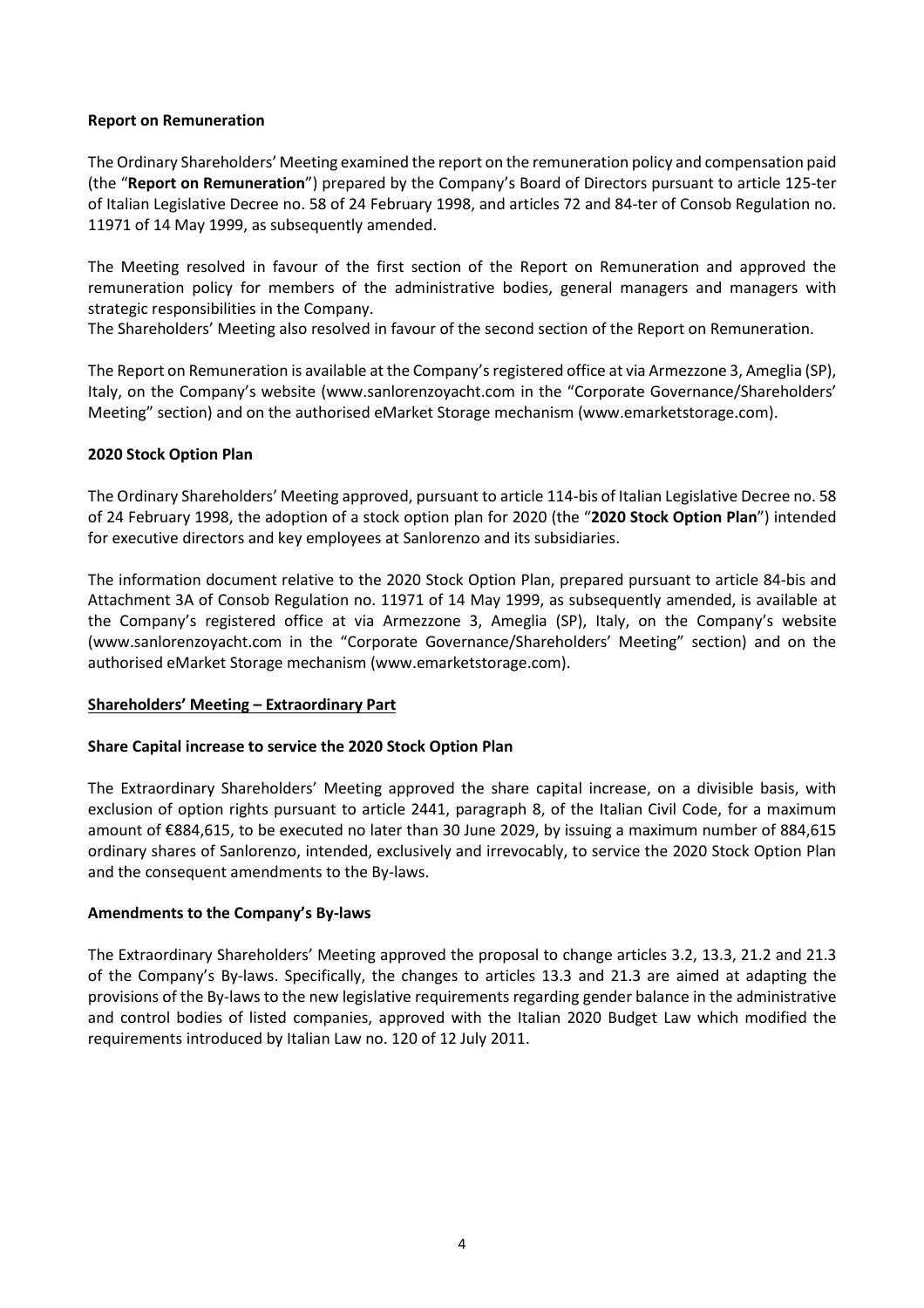#### **Report on Remuneration**

The Ordinary Shareholders' Meeting examined the report on the remuneration policy and compensation paid (the "**Report on Remuneration**") prepared by the Company's Board of Directors pursuant to article 125-ter of Italian Legislative Decree no. 58 of 24 February 1998, and articles 72 and 84-ter of Consob Regulation no. 11971 of 14 May 1999, as subsequently amended.

The Meeting resolved in favour of the first section of the Report on Remuneration and approved the remuneration policy for members of the administrative bodies, general managers and managers with strategic responsibilities in the Company.

The Shareholders' Meeting also resolved in favour of the second section of the Report on Remuneration.

The Report on Remuneration is available at the Company's registered office at via Armezzone 3, Ameglia (SP), Italy, on the Company's website (www.sanlorenzoyacht.com in the "Corporate Governance/Shareholders' Meeting" section) and on the authorised eMarket Storage mechanism (www.emarketstorage.com).

#### **2020 Stock Option Plan**

The Ordinary Shareholders' Meeting approved, pursuant to article 114-bis of Italian Legislative Decree no. 58 of 24 February 1998, the adoption of a stock option plan for 2020 (the "**2020 Stock Option Plan**") intended for executive directors and key employees at Sanlorenzo and its subsidiaries.

The information document relative to the 2020 Stock Option Plan, prepared pursuant to article 84-bis and Attachment 3A of Consob Regulation no. 11971 of 14 May 1999, as subsequently amended, is available at the Company's registered office at via Armezzone 3, Ameglia (SP), Italy, on the Company's website (www.sanlorenzoyacht.com in the "Corporate Governance/Shareholders' Meeting" section) and on the authorised eMarket Storage mechanism (www.emarketstorage.com).

#### **Shareholders' Meeting – Extraordinary Part**

#### **Share Capital increase to service the 2020 Stock Option Plan**

The Extraordinary Shareholders' Meeting approved the share capital increase, on a divisible basis, with exclusion of option rights pursuant to article 2441, paragraph 8, of the Italian Civil Code, for a maximum amount of €884,615, to be executed no later than 30 June 2029, by issuing a maximum number of 884,615 ordinary shares of Sanlorenzo, intended, exclusively and irrevocably, to service the 2020 Stock Option Plan and the consequent amendments to the By-laws.

#### **Amendments to the Company's By-laws**

The Extraordinary Shareholders' Meeting approved the proposal to change articles 3.2, 13.3, 21.2 and 21.3 of the Company's By-laws. Specifically, the changes to articles 13.3 and 21.3 are aimed at adapting the provisions of the By-laws to the new legislative requirements regarding gender balance in the administrative and control bodies of listed companies, approved with the Italian 2020 Budget Law which modified the requirements introduced by Italian Law no. 120 of 12 July 2011.